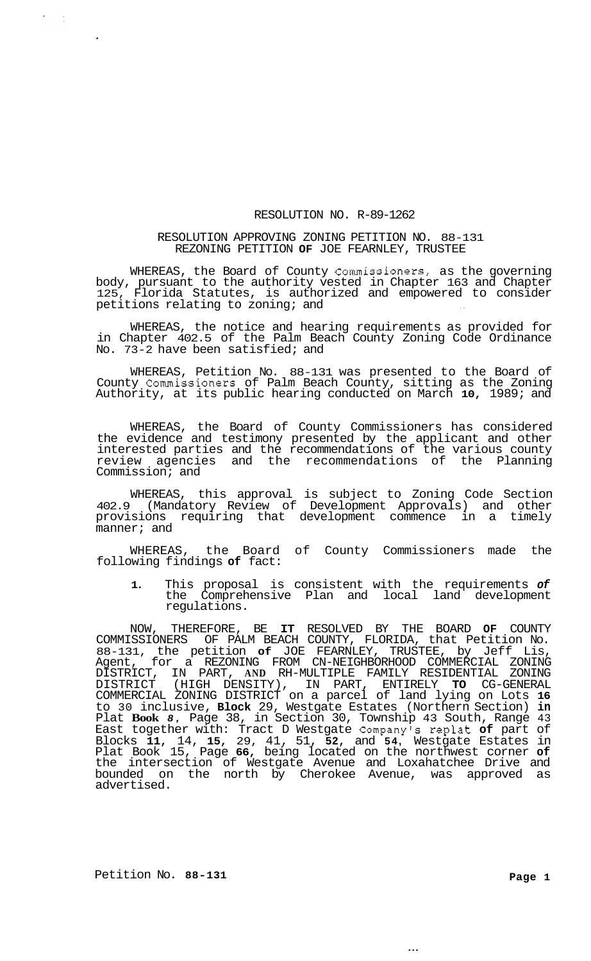## RESOLUTION NO. R-89-1262

## RESOLUTION APPROVING ZONING PETITION NO. 88-131 REZONING PETITION **OF** JOE FEARNLEY, TRUSTEE

WHEREAS, the Board of County Commissioners, as the governing body, pursuant to the authority vested in Chapter 163 and Chapter 125, Florida Statutes, is authorized and empowered to consider petitions relating to zoning; and

WHEREAS, the notice and hearing requirements as provided for in Chapter 402.5 of the Palm Beach County Zoning Code Ordinance No. 73-2 have been satisfied; and

WHEREAS, Petition No. 88-131 was presented to the Board of County Commissioners of Palm Beach County, sitting as the Zoning Authority, at its public hearing conducted on March **10,** 1989; and

WHEREAS, the Board of County Commissioners has considered the evidence and testimony presented by the applicant and other interested parties and the recommendations of the various county review agencies and the recommendations of the Planning Commission; and

WHEREAS, this approval is subject to Zoning Code Section 402.9 (Mandatory Review of Development Approvals) and other provisions requiring that development commence in a timely manner; and

WHEREAS, the Board of County Commissioners made the following findings **of** fact:

**1.** This proposal is consistent with the requirements *of*  the Comprehensive Plan and local land development regulations.

NOW, THEREFORE, BE **IT** RESOLVED BY THE BOARD **OF** COUNTY COMMISSIONERS OF PALM BEACH COUNTY, FLORIDA, that Petition No. 88-131, the petition **of** JOE FEARNLEY, TRUSTEE, by Jeff Lis, Agent, for a REZONING FROM CN-NEIGHBORHOOD COMMERCIAL ZONING DISTRICT, IN PART, **AND** RH-MULTIPLE FAMILY RESIDENTIAL ZONING DISTRICT (HIGH DENSITY), IN PART, ENTIRELY **TO** CG-GENERAL COMMERCIAL ZONING DISTRICT on a parcel of land lying on Lots **16**  to 30 inclusive, **Block** 29, Westgate Estates (Northern Section) **in**  Plat **Book** *8,* Page 38, in Section 30, Township 43 South, Range 43 East together with: Tract D Westgate Companyls replat **of** part of Blocks **11,** 14, **15,** 29, 41, 51, **52,** and **54,** Westgate Estates in Plat Book 15, Page **66,** being located on the northwest corner **of**  the intersection of Westgate Avenue and Loxahatchee Drive and bounded on the north by Cherokee Avenue, was approved as advertised.

 $\hat{r}$  $\frac{1}{2}$ 

...